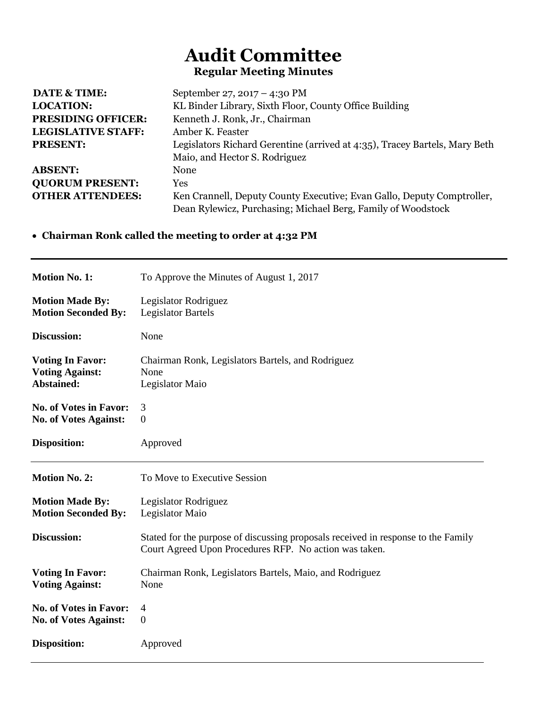## **Audit Committee Regular Meeting Minutes**

| <b>DATE &amp; TIME:</b>   | September 27, 2017 – 4:30 PM                                               |
|---------------------------|----------------------------------------------------------------------------|
| <b>LOCATION:</b>          | KL Binder Library, Sixth Floor, County Office Building                     |
| <b>PRESIDING OFFICER:</b> | Kenneth J. Ronk, Jr., Chairman                                             |
| <b>LEGISLATIVE STAFF:</b> | Amber K. Feaster                                                           |
| <b>PRESENT:</b>           | Legislators Richard Gerentine (arrived at 4:35), Tracey Bartels, Mary Beth |
|                           | Maio, and Hector S. Rodriguez                                              |
| <b>ABSENT:</b>            | None                                                                       |
| <b>QUORUM PRESENT:</b>    | Yes                                                                        |
| <b>OTHER ATTENDEES:</b>   | Ken Crannell, Deputy County Executive; Evan Gallo, Deputy Comptroller,     |
|                           | Dean Rylewicz, Purchasing; Michael Berg, Family of Woodstock               |

## **Chairman Ronk called the meeting to order at 4:32 PM**

| <b>Motion No. 1:</b>          | To Approve the Minutes of August 1, 2017                                                                                                    |
|-------------------------------|---------------------------------------------------------------------------------------------------------------------------------------------|
| <b>Motion Made By:</b>        | Legislator Rodriguez                                                                                                                        |
| <b>Motion Seconded By:</b>    | <b>Legislator Bartels</b>                                                                                                                   |
| Discussion:                   | None                                                                                                                                        |
| <b>Voting In Favor:</b>       | Chairman Ronk, Legislators Bartels, and Rodriguez                                                                                           |
| <b>Voting Against:</b>        | None                                                                                                                                        |
| <b>Abstained:</b>             | Legislator Maio                                                                                                                             |
| <b>No. of Votes in Favor:</b> | 3                                                                                                                                           |
| <b>No. of Votes Against:</b>  | $\overline{0}$                                                                                                                              |
| <b>Disposition:</b>           | Approved                                                                                                                                    |
|                               |                                                                                                                                             |
| <b>Motion No. 2:</b>          | To Move to Executive Session                                                                                                                |
| <b>Motion Made By:</b>        | Legislator Rodriguez                                                                                                                        |
| <b>Motion Seconded By:</b>    | Legislator Maio                                                                                                                             |
| Discussion:                   | Stated for the purpose of discussing proposals received in response to the Family<br>Court Agreed Upon Procedures RFP. No action was taken. |
| <b>Voting In Favor:</b>       | Chairman Ronk, Legislators Bartels, Maio, and Rodriguez                                                                                     |
| <b>Voting Against:</b>        | None                                                                                                                                        |
| <b>No. of Votes in Favor:</b> | 4                                                                                                                                           |
| <b>No. of Votes Against:</b>  | $\boldsymbol{0}$                                                                                                                            |